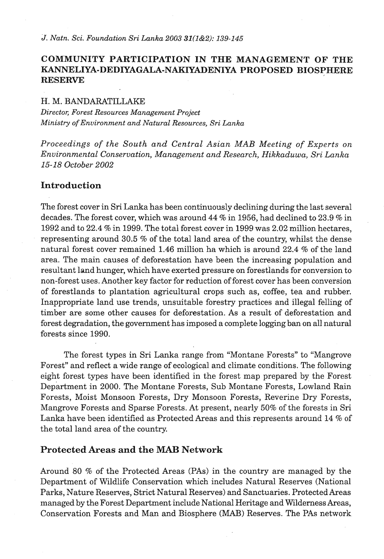## **COMMUNITY PARTICIPATION IN THE MANAGEMENT OF THE KANNELIYA-DEDIYAGALA-NAKIYADENIYA PROPOSED BIOSPHERE RESERVE**

#### H. M. BANDARATILLAKE

*Director, Forest Resources Management Project Ministry of Environment and Natural Resources, Sri Lanka* 

*Proceedings of the South and Central Asian MAB Meeting of Experts on Environmental Conservation, Management and Research, Hikkaduwa, Sri Lanka 15-18 October 2002* 

#### **Introduction**

The forest cover in Sri Lanka has been continuously declining during the last several decades. The forest cover, which was around  $44\%$  in 1956, had declined to 23.9 % in 1992 and to 22.4 % in 1999. The total forest cover in 1999 was 2.02 million hectares, representing around 30.5 % of the total land area of the country, whilst the dense natural forest cover remained 1.46 million ha which is around 22.4 % of the land area. The main causes of deforestation have been the increasing population and resultant land hunger, which have exerted pressure on forestlands for conversion to non-forest uses. Another key factor for reduction of forest cover has been conversion of forestlands to plantation agricultural crops such as, coffee, tea and rubber. Inappropriate land use trends, unsuitable forestry practices and illegal felling of timber are some other causes for deforestation. **As** a result of deforestation and forest degradation, the government has imposed a complete logging ban on all natural forests since 1990.

The forest types in Sri Lanka range from "Montane Forests" to "Mangrove Forest" and reflect a wide range of ecological and climate conditions. The following eight forest types have been identified in the forest map prepared by the Forest Department in 2000. The Montane Forests, Sub Montane Forests, Lowland Rain Forests, Moist Monsoon Forests, Dry Monsoon Forests, Reverine Dry Forests, Mangrove Forests and Sparse Forests. At present, nearly 50% of the forests in Sri Lanka have been identified as Protected Areas and this represents around 14 % of the total land area of the country.

#### **Protected Areas and the MAB Network**

Around 80 % of the Protected Areas (PAS) in the country are managed by the Department of Wildlife Conservation which includes Natural Reserves (National Parks, Nature Reserves, Strict Natural Reserves) and Sanctuaries. Protected Areas managed by the Forest Department include National Heritage and Wilderness Areas, Conservation Forests and Man and Biosphere **(MAB)** Reserves. The PAS network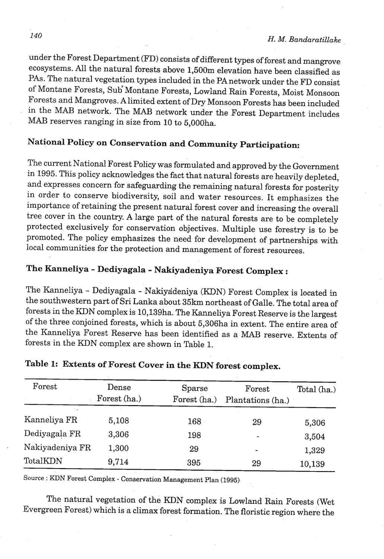under the Forest Department (FD) consists of different types of forest and mangrove ecosystems. All the natural forests above 1,500m elevation have been classified as **PAS.** The natural vegetation types included in the PAnetwork under the FD consist of Montane Forests, Su6 Montane Forests, Lowland Rain Forests, Moist Monsoon Forests and Mangroves. Alimited extent of Dry Monsoon Forests has been included in the **MAB** network. The **MAB** network under the Forest Department includes **MAB** reserves ranging in size from 10 to 5,000ha.

# **National Policy on Conservation and Community Participation:**

The current National Forest Policy was formulated and approved by the Government in 1995. This policy acknowledges the fact that natural forests are heavily depleted, and expresses concern for safeguarding the remaining natural forests for posterity in order to conserve biodiversity, soil and water resources. It emphasizes the importance of retaining the present natural forest cover and increasing the overall tree cover in the country. **A** large part of the natural forests are to be completely protected exclusively for conservation objectives. Multiple use forestry is to be promoted. The policy emphasizes the need for development of partnerships with local communities for the protection and management of forest resources.

# **The Kanneliya** - **Dediyagala** - **Nakiyadeniya Forest Complex** :

The Kanneliya - Dediyagala - Nakiyadeniya (KDN) Forest Complex is located in the southwestern part of Sri Lanka about 35km northeast of Galle. The total area of forests in the KDN complex is 10,139ha. The Kanneliya Forest Reserve is the largest of the three conjoined forests, which is about 5,306ha in extent. The entire area of the Kanneliya Forest Reserve has been identified as a **MAB** reserve. Extents of forests in the KDN complex are shown in Table 1.

| Forest          | Dense<br>Forest (ha.) | Sparse<br>Forest (ha.) | Forest<br>Plantations (ha.) | Total (ha.) |
|-----------------|-----------------------|------------------------|-----------------------------|-------------|
| Kanneliya FR    | 5,108                 | 168                    | 29                          | 5,306       |
| Dediyagala FR   | 3,306                 | 198                    | ۰                           | 3,504       |
| Nakiyadeniya FR | 1,300                 | 29                     | -                           | 1,329       |
| TotalKDN        | 9,714                 | 395                    | 29                          | 10,139      |

# **Table 1: Extents of Forest Cover in the HDN forest complex.**

Source : **KDN** Forest Complex - Conservation Management Plan **(1995)** 

The natural vegetation of the KDN complex is Lowland Rain Forests (Wet Evergreen Forest) which is a climax forest formation. The floristic region where the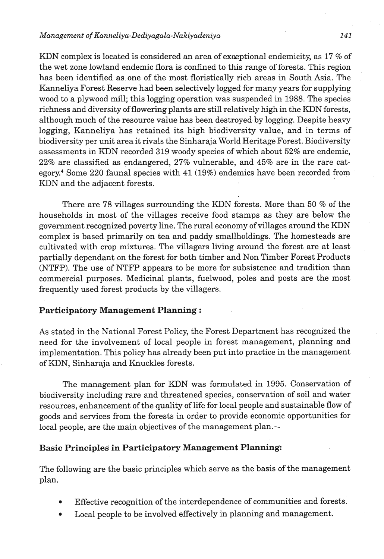#### **Management of Kanneliya-Dediyagala-Nakiyadeniya 141**

KDN complex is located is considered an area of exceptional endemicity, as 17 % of the wet zone lowland endemic flora is confined to this range of forests. This region has been identified as one of the most floristically rich areas in South Asia. The Kanneliya Forest Reserve had been selectively logged for many years for supplying wood to a plywood mill; this logging operation was suspended in 1988. The species richness and diversity of flowering plants are still relatively high in the KDN forests, although much of the resource value has been destroyed by logging. Despite heavy logging, Kanneliya has retained its high biodiversity value, and in terms of biodiversity per unit area it rivals the Sinharaja World Heritage Forest. Biodiversity assessments in KDN recorded 319 woody species of which about 52% are endemic, 22% are classified as endangered, 27% vulnerable, and 45% are in the rare category.<sup>4</sup> Some 220 faunal species with  $41$  (19%) endemics have been recorded from KDN and the adjacent forests.

There are 78 villages surrounding the KDN forests. More than 50 % of the households in most of the villages receive food stamps as they are below the government recognized poverty line. The rural economy of villages around the KDN complex is based primarily on tea and paddy smallholdings. The homesteads are cultivated with crop mixtures. The villagers living around the forest are at least partially dependant on the forest for both timber and Non Timber Forest Products (NTFP). The use of NTFP appears to be more for subsistence and tradition than commercial purposes. Medicinal plants, fuelwood, poles and posts are the most frequently used forest products by the villagers.

## **Participatory Management Planning** :

As stated in the National Forest Policy, the Forest Department has recognized the need for the involvement of local people in forest management, planning and implementation. This policy has already been put into practice in the management of KDN, Sinharaja and Knuckles forests.

The management plan for KDN was formulated in 1995. Conservation of biodiversity including rare and threatened species, conservation of soil and water resources, enhancement of the quality of life for local people and sustainable flow of goods and services from the forests in order to provide economic opportunities for local people, are the main objectives of the management plan. $\sim$ 

#### **Basic Principles in Participatory Management Planning:**

The following are the basic principles which serve as the basis of the management plan.

- Effective recognition of the interdependence of communities and forests.
- Local people to be involved effectively in planning and management.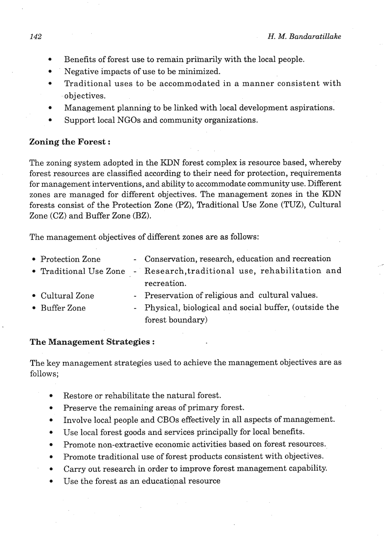- Benefits of forest use to remain priinarily with the local people.
- Negative impacts of use to be minimized.  $\bullet$
- Traditional uses to be accommodated in a manner consistent with objectives.
- Management planning to be linked with local development aspirations.
- Support local NGOs and community organizations.

## **Zoning the Forest** :

The zoning system adopted in the KDN forest complex is resource based, whereby forest resources are classified according to their need for protection, requirements for management interventions, and ability to accommodate community use. Different zones are managed for different objectives. The management zopes in the KDN forests consist of the Protection Zone (PZ), Traditional Use Zone (TUZ), Cultural Zone (CZ) and Buffer Zone (BZ).

The management objectives of different zones are as follows:

| • Protection Zone | - Conservation, research, education and recreation                     |
|-------------------|------------------------------------------------------------------------|
|                   | • Traditional Use Zone - Research, traditional use, rehabilitation and |
|                   | recreation.                                                            |
| • Cultural Zone   | - Preservation of religious and cultural values.                       |
| • Buffer Zone     | - Physical, biological and social buffer, (outside the                 |
|                   | forest boundary)                                                       |

#### **The Management Strategies** :

The key management strategies used to achieve the management objectives are as follows;

- Restore or rehabilitate the natural forest.
- Preserve the remaining areas of primary forest.  $\bullet$
- Involve local people and CBOs effectively in all aspects of management.  $\bullet$
- Use local forest goods and services principally for local benefits.
- Promote non-extractive economic activities based on forest resources.
- Promote traditional use of forest products consistent with objectives.
- Carry out research in order to improve forest management capability.
- Use the forest as an educational resource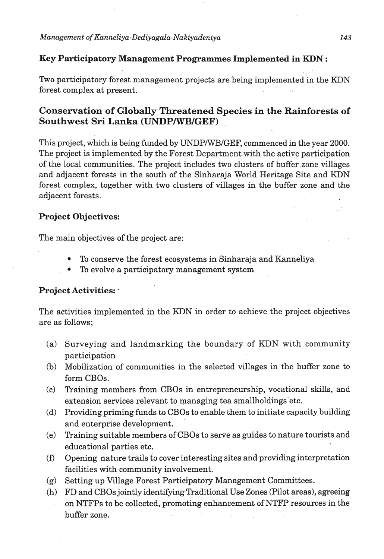## **Key Participatory Management Programmes Implemented in KDN** :

Two participatory forest management projects are being implemented in the KDN forest complex at present.

## **Conservation of Globally Threatened Species in the Rainforests of Southwest Sri Lanka (UNDPIWBIGEF)**

This project, which is being funded by UNDPIWBIGEF, commenced in the year 2000. The project is implemented by the Forest Department with the active participation of the local communities. The project includes two clusters of buffer zone villages and adjacent forests in the south of the Sinharaja World Heritage Site and KDN forest complex, together with two clusters of villages in the buffer zone and the adjacent forests.

## **Project Objectives:**

The main objectives of the project are:

- To conserve the forest ecosystems in Sinharaja and Kanneliya
- To evolve a participatory management system

## **Project Activities:** -

The activities implemented in the KDN in order to achieve the project objectives are as follows;

- Surveying and landmarking the boundary of KDN with community  $(a)$ participation
- Mobilization of communities in the selected villages in the buffer zone to  $(b)$ form CBOs.
- $(c)$ Training members from CBOs in entrepreneurship, vocational skills, and extension services relevant to managing tea smallholdings etc.
- Providing priming funds to CBOs to enable them to initiate capacity building  $(d)$ and enterprise development.
- $(e)$ Training suitable members of CBOs to serve as guides to nature tourists and educational parties etc.
- Opening nature trails to cover interesting sites and providing interpretation  $(f)$ facilities with community involvement.
- Setting up Village Forest Participatory Management Committees.  $(g)$
- $(h)$ FD and CBOs jointly identifying Traditional Use Zones (Pilot areas), agreeing on NTFPs to be collected, promoting enhancement of NTFP resources in the buffer zone.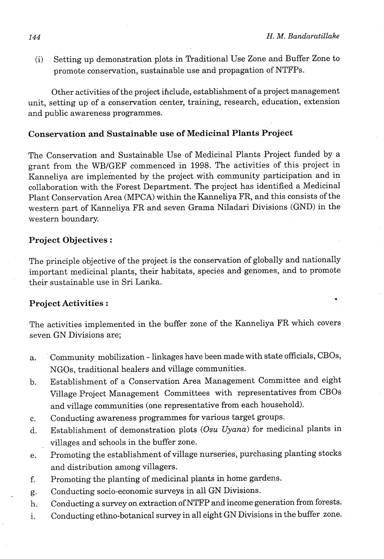(i) Setting up demonstration plots in Traditional Use Zone and Buffer Zone to promote conservation, sustainable use and propagation of NTFPs.

Other activities of the project ihclude, establishment of a project management unit, setting up of a conservation center, training, research, education, extension and public awareness programmes.

### **Conservation and Sustainable use of Medicinal Plants Project**

The Conservation and Sustainable Use of Medicinal Plants Project funded by a grant from the WBIGEF commenced in 1998. The activities of this project in Kanneliya are implemented by the project with community participation and in collaboration with the Forest Department. The project has identified a Medicinal Plant Conservation Area (MPCA) within the Kanneliya FR, and this consists of the western part of Kanneliya FR and seven Grama Niladari Divisions (GND) in the western boundary.

#### **Project Objectives** :

The principle objective of the project is the conservation of globally and nationally important medicinal plants, their habitats, species and genomes, and to promote their sustainable use in Sri Lanka.

## **Project Activities** :

The activities implemented in the buffer zone of the Kanneliya FR which covers seven GN Divisions are;

- Community mobilization linkages have been made with state officials, CBOs, a. NGOs, traditional healers and village communities.
- Establishment of a Conservation Area Management Committee and eight  $<sub>b</sub>$ .</sub> Village Project Management Committees with representatives from CBOs and village communities (one representative from each household).
- Conducting awareness programmes for various target groups.  $\mathbf{c}$ .
- Establishment of demonstration plots (Osu Uyana) for medicinal plants in  $d_{\cdot}$ villages and schools in the buffer zone.
- Promoting the establishment of village nurseries, purchasing planting stocks e. and distribution among villagers.
- Promoting the planting of medicinal plants in home gardens. f.
- Conducting socio-economic surveys in all GN Divisions. g.
- Conducting a survey on extraction of NTFP and income generation from forests. h.
- Conducting ethno-botanical survey in all eight GN Divisions in the buffer zone. i.